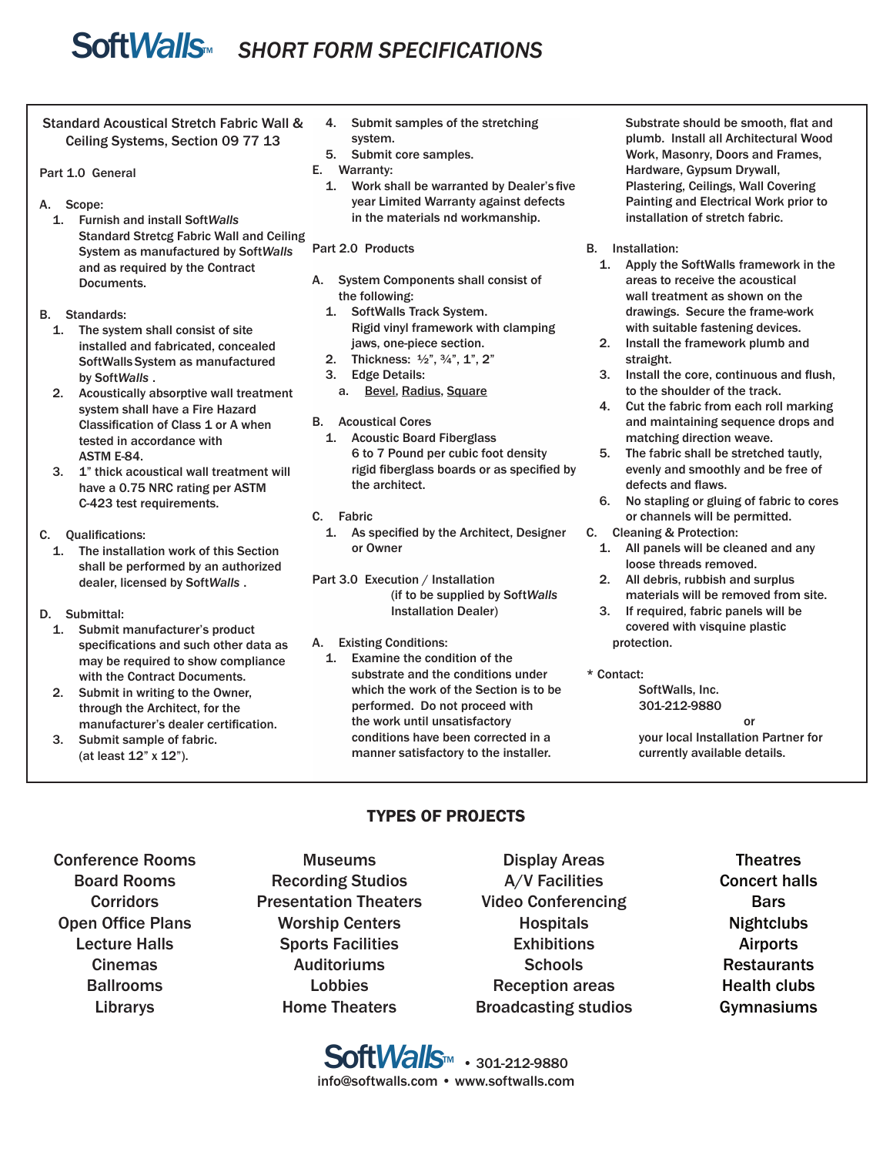# **SoftWalls** SHORT FORM SPECIFICATIONS

Standard Acoustical Stretch Fabric Wall & Ceiling Systems, Section 09 77 13

#### Part 1.0 General

- A. Scope:
	- 1. Furnish and install Soft*Walls* Standard Stretcg Fabric Wall and Ceiling System as manufactured by Soft*Walls* and as required by the Contract Documents.

B. Standards:

- 1. The system shall consist of site installed and fabricated, concealed SoftWalls System as manufactured by Soft*Walls* .
	- 2. Acoustically absorptive wall treatment system shall have a Fire Hazard Classification of Class 1 or A when tested in accordance with ASTM E-84.
	- 3. 1" thick acoustical wall treatment will have a 0.75 NRC rating per ASTM C-423 test requirements.

C. Qualifications:

- 1. The installation work of this Section shall be performed by an authorized dealer, licensed by Soft*Walls* .
- D. Submittal:
	- 1. Submit manufacturer's product specifications and such other data as may be required to show compliance with the Contract Documents.
	- 2. Submit in writing to the Owner, through the Architect, for the manufacturer's dealer certification.
	- 3. Submit sample of fabric. (at least 12" x 12").
- 4. Submit samples of the stretching system.
- 5. Submit core samples.
- E. Warranty:
	- 1. Work shall be warranted by Dealer's five year Limited Warranty against defects in the materials nd workmanship.

### Part 2.0 Products

- A. System Components shall consist of the following:
	- 1. SoftWalls Track System. Rigid vinyl framework with clamping jaws, one-piece section.
	- 2. Thickness: 1⁄2", 3⁄4", 1", 2"
	- 3. Edge Details:
		- a. Bevel, Radius, Square
- B. Acoustical Cores
	- 1. Acoustic Board Fiberglass 6 to 7 Pound per cubic foot density rigid fiberglass boards or as specified by the architect.
- C. Fabric
	- 1. As specified by the Architect, Designer or Owner

Part 3.0 Execution / Installation (if to be supplied by Soft*Walls* Installation Dealer)

### A. Existing Conditions:

1. Examine the condition of the substrate and the conditions under which the work of the Section is to be performed. Do not proceed with the work until unsatisfactory conditions have been corrected in a manner satisfactory to the installer.

 Substrate should be smooth, flat and plumb. Install all Architectural Wood Work, Masonry, Doors and Frames, Hardware, Gypsum Drywall, Plastering, Ceilings, Wall Covering Painting and Electrical Work prior to installation of stretch fabric.

#### B. Installation:

- 1. Apply the SoftWalls framework in the areas to receive the acoustical wall treatment as shown on the drawings. Secure the frame-work with suitable fastening devices.
- 2. Install the framework plumb and straight.
- 3. Install the core, continuous and flush, to the shoulder of the track.
- 4. Cut the fabric from each roll marking and maintaining sequence drops and matching direction weave.
- 5. The fabric shall be stretched tautly, evenly and smoothly and be free of defects and flaws.
- 6. No stapling or gluing of fabric to cores or channels will be permitted.
- C. Cleaning & Protection:
	- 1. All panels will be cleaned and any loose threads removed.
	- 2. All debris, rubbish and surplus materials will be removed from site.
	- 3. If required, fabric panels will be covered with visquine plastic protection.

#### \* Contact:

SoftWalls, Inc. 301-212-9880 **or** *or* 

your local Installation Partner for currently available details.

## TYPES OF PROJECTS

- Conference Rooms Board Rooms **Corridors** Open Office Plans Lecture Halls Cinemas Ballrooms Librarys
- Museums Recording Studios Presentation Theaters Worship Centers Sports Facilities **Auditoriums** Lobbies Home Theaters
- Display Areas A/V Facilities Video Conferencing **Hospitals Exhibitions Schools** Reception areas Broadcasting studios
- Theatres Concert halls Bars **Nightclubs** Airports Restaurants Health clubs Gymnasiums